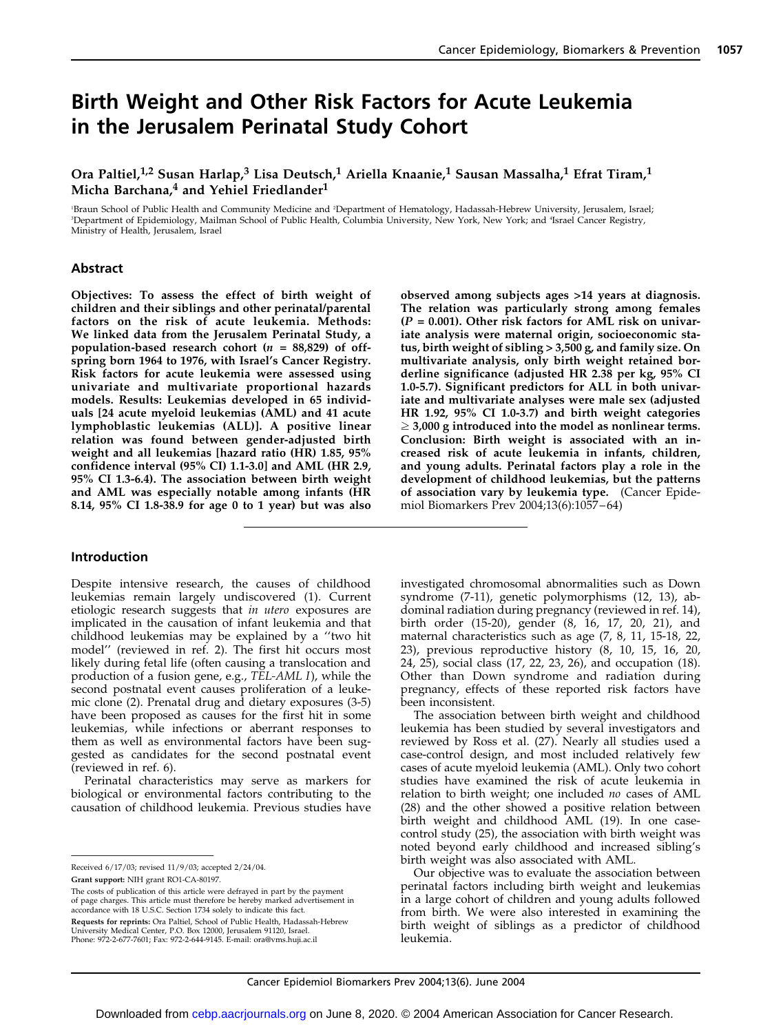### Birth Weight and Other Risk Factors for Acute Leukemia in the Jerusalem Perinatal Study Cohort

Ora Paltiel,<sup>1,2</sup> Susan Harlap,<sup>3</sup> Lisa Deutsch,<sup>1</sup> Ariella Knaanie,<sup>1</sup> Sausan Massalha,<sup>1</sup> Efrat Tiram,<sup>1</sup> Micha Barchana,<sup>4</sup> and Yehiel Friedlander<sup>1</sup>

1 Braun School of Public Health and Community Medicine and <sup>2</sup> Department of Hematology, Hadassah-Hebrew University, Jerusalem, Israel; 3 Department of Epidemiology, Mailman School of Public Health, Columbia University, New York, New York; and <sup>4</sup> Israel Cancer Registry, Ministry of Health, Jerusalem, Israel

#### Abstract

Objectives: To assess the effect of birth weight of children and their siblings and other perinatal/parental factors on the risk of acute leukemia. Methods: We linked data from the Jerusalem Perinatal Study, a population-based research cohort ( $n = 88,829$ ) of offspring born 1964 to 1976, with Israel's Cancer Registry. Risk factors for acute leukemia were assessed using univariate and multivariate proportional hazards models. Results: Leukemias developed in 65 individuals [24 acute myeloid leukemias (AML) and 41 acute lymphoblastic leukemias (ALL)]. A positive linear relation was found between gender-adjusted birth weight and all leukemias [hazard ratio (HR) 1.85, 95% confidence interval (95% CI) 1.1-3.0] and AML (HR 2.9, 95% CI 1.3-6.4). The association between birth weight and AML was especially notable among infants (HR 8.14, 95% CI 1.8-38.9 for age 0 to 1 year) but was also

#### Introduction

Despite intensive research, the causes of childhood leukemias remain largely undiscovered (1). Current etiologic research suggests that in utero exposures are implicated in the causation of infant leukemia and that childhood leukemias may be explained by a ''two hit model'' (reviewed in ref. 2). The first hit occurs most likely during fetal life (often causing a translocation and production of a fusion gene, e.g., TEL-AML I), while the second postnatal event causes proliferation of a leukemic clone (2). Prenatal drug and dietary exposures (3-5) have been proposed as causes for the first hit in some leukemias, while infections or aberrant responses to them as well as environmental factors have been suggested as candidates for the second postnatal event (reviewed in ref. 6).

Perinatal characteristics may serve as markers for biological or environmental factors contributing to the causation of childhood leukemia. Previous studies have

Received 6/17/03; revised 11/9/03; accepted 2/24/04. Grant support: NIH grant RO1-CA-80197.

The costs of publication of this article were defrayed in part by the payment of page charges. This article must therefore be hereby marked advertisement in accordance with 18 U.S.C. Section 1734 solely to indicate this fact.

Requests for reprints: Ora Paltiel, School of Public Health, Hadassah-Hebrew University Medical Center, P.O. Box 12000, Jerusalem 91120, Israel. Phone: 972-2-677-7601; Fax: 972-2-644-9145. E-mail: ora@vms.huji.ac.il

observed among subjects ages >14 years at diagnosis. The relation was particularly strong among females  $(P = 0.001)$ . Other risk factors for AML risk on univariate analysis were maternal origin, socioeconomic status, birth weight of sibling > 3,500 g, and family size. On multivariate analysis, only birth weight retained borderline significance (adjusted HR 2.38 per kg, 95% CI 1.0-5.7). Significant predictors for ALL in both univariate and multivariate analyses were male sex (adjusted HR 1.92, 95% CI 1.0-3.7) and birth weight categories  $\geq$  3,000 g introduced into the model as nonlinear terms. Conclusion: Birth weight is associated with an increased risk of acute leukemia in infants, children, and young adults. Perinatal factors play a role in the development of childhood leukemias, but the patterns of association vary by leukemia type. (Cancer Epidemiol Biomarkers Prev 2004;13(6):1057–64)

investigated chromosomal abnormalities such as Down syndrome (7-11), genetic polymorphisms (12, 13), abdominal radiation during pregnancy (reviewed in ref. 14), birth order (15-20), gender (8, 16, 17, 20, 21), and maternal characteristics such as age (7, 8, 11, 15-18, 22, 23), previous reproductive history (8, 10, 15, 16, 20, 24, 25), social class (17, 22, 23, 26), and occupation (18). Other than Down syndrome and radiation during pregnancy, effects of these reported risk factors have been inconsistent.

The association between birth weight and childhood leukemia has been studied by several investigators and reviewed by Ross et al. (27). Nearly all studies used a case-control design, and most included relatively few cases of acute myeloid leukemia (AML). Only two cohort studies have examined the risk of acute leukemia in relation to birth weight; one included *no* cases of AML (28) and the other showed a positive relation between birth weight and childhood AML (19). In one casecontrol study (25), the association with birth weight was noted beyond early childhood and increased sibling's birth weight was also associated with AML.

Our objective was to evaluate the association between perinatal factors including birth weight and leukemias in a large cohort of children and young adults followed from birth. We were also interested in examining the birth weight of siblings as a predictor of childhood leukemia.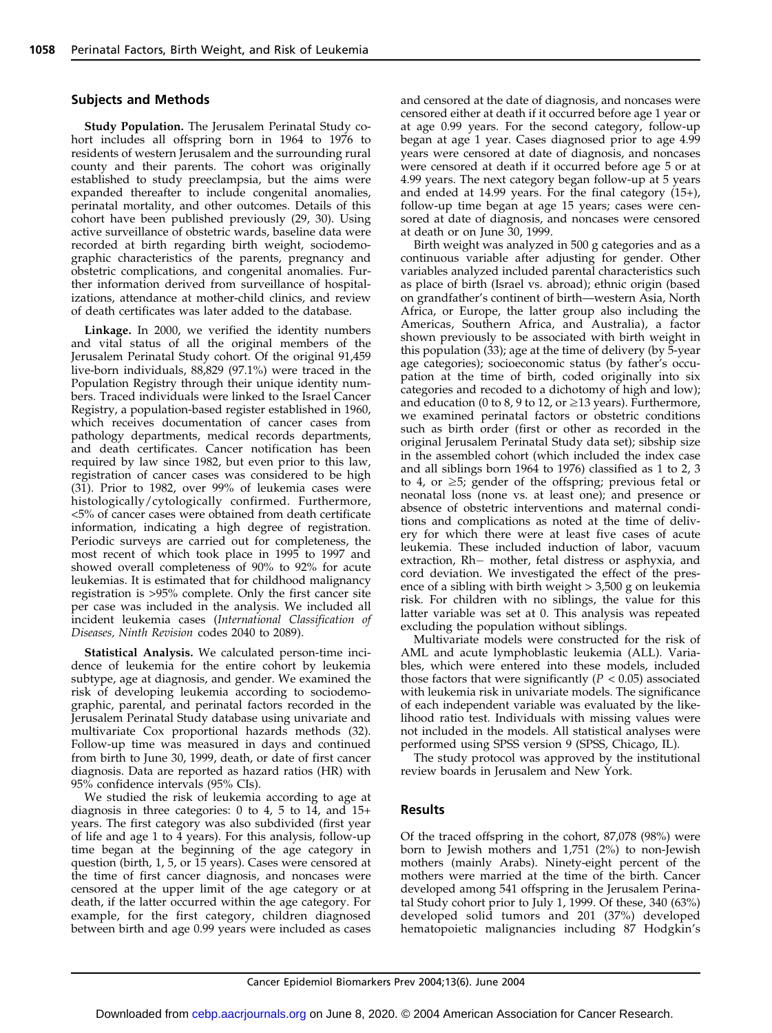#### Subjects and Methods

Study Population. The Jerusalem Perinatal Study cohort includes all offspring born in 1964 to 1976 to residents of western Jerusalem and the surrounding rural county and their parents. The cohort was originally established to study preeclampsia, but the aims were expanded thereafter to include congenital anomalies, perinatal mortality, and other outcomes. Details of this cohort have been published previously (29, 30). Using active surveillance of obstetric wards, baseline data were recorded at birth regarding birth weight, sociodemographic characteristics of the parents, pregnancy and obstetric complications, and congenital anomalies. Further information derived from surveillance of hospitalizations, attendance at mother-child clinics, and review of death certificates was later added to the database.

Linkage. In 2000, we verified the identity numbers and vital status of all the original members of the Jerusalem Perinatal Study cohort. Of the original 91,459 live-born individuals, 88,829 (97.1%) were traced in the Population Registry through their unique identity numbers. Traced individuals were linked to the Israel Cancer Registry, a population-based register established in 1960, which receives documentation of cancer cases from pathology departments, medical records departments, and death certificates. Cancer notification has been required by law since 1982, but even prior to this law, registration of cancer cases was considered to be high (31). Prior to 1982, over 99% of leukemia cases were histologically/cytologically confirmed. Furthermore, <5% of cancer cases were obtained from death certificate information, indicating a high degree of registration. Periodic surveys are carried out for completeness, the most recent of which took place in 1995 to 1997 and showed overall completeness of 90% to 92% for acute leukemias. It is estimated that for childhood malignancy registration is >95% complete. Only the first cancer site per case was included in the analysis. We included all incident leukemia cases (International Classification of Diseases, Ninth Revision codes 2040 to 2089).

Statistical Analysis. We calculated person-time incidence of leukemia for the entire cohort by leukemia subtype, age at diagnosis, and gender. We examined the risk of developing leukemia according to sociodemographic, parental, and perinatal factors recorded in the Jerusalem Perinatal Study database using univariate and multivariate Cox proportional hazards methods (32). Follow-up time was measured in days and continued from birth to June 30, 1999, death, or date of first cancer diagnosis. Data are reported as hazard ratios (HR) with 95% confidence intervals (95% CIs).

We studied the risk of leukemia according to age at diagnosis in three categories: 0 to 4, 5 to 14, and 15+ years. The first category was also subdivided (first year of life and age 1 to 4 years). For this analysis, follow-up time began at the beginning of the age category in question (birth, 1, 5, or 15 years). Cases were censored at the time of first cancer diagnosis, and noncases were censored at the upper limit of the age category or at death, if the latter occurred within the age category. For example, for the first category, children diagnosed between birth and age 0.99 years were included as cases and censored at the date of diagnosis, and noncases were censored either at death if it occurred before age 1 year or at age 0.99 years. For the second category, follow-up began at age 1 year. Cases diagnosed prior to age 4.99 years were censored at date of diagnosis, and noncases were censored at death if it occurred before age 5 or at 4.99 years. The next category began follow-up at 5 years and ended at 14.99 years. For the final category (15+), follow-up time began at age 15 years; cases were censored at date of diagnosis, and noncases were censored at death or on June 30, 1999.

Birth weight was analyzed in 500 g categories and as a continuous variable after adjusting for gender. Other variables analyzed included parental characteristics such as place of birth (Israel vs. abroad); ethnic origin (based on grandfather's continent of birth—western Asia, North Africa, or Europe, the latter group also including the Americas, Southern Africa, and Australia), a factor shown previously to be associated with birth weight in this population (33); age at the time of delivery (by 5-year age categories); socioeconomic status (by father's occupation at the time of birth, coded originally into six categories and recoded to a dichotomy of high and low); and education (0 to 8, 9 to 12, or  $\geq$  13 years). Furthermore, we examined perinatal factors or obstetric conditions such as birth order (first or other as recorded in the original Jerusalem Perinatal Study data set); sibship size in the assembled cohort (which included the index case and all siblings born 1964 to 1976) classified as 1 to 2, 3 to 4, or  $\geq$ 5; gender of the offspring; previous fetal or neonatal loss (none vs. at least one); and presence or absence of obstetric interventions and maternal conditions and complications as noted at the time of delivery for which there were at least five cases of acute leukemia. These included induction of labor, vacuum extraction, Rh- mother, fetal distress or asphyxia, and cord deviation. We investigated the effect of the presence of a sibling with birth weight > 3,500 g on leukemia risk. For children with no siblings, the value for this latter variable was set at 0. This analysis was repeated excluding the population without siblings.

Multivariate models were constructed for the risk of AML and acute lymphoblastic leukemia (ALL). Variables, which were entered into these models, included those factors that were significantly ( $P < 0.05$ ) associated with leukemia risk in univariate models. The significance of each independent variable was evaluated by the likelihood ratio test. Individuals with missing values were not included in the models. All statistical analyses were performed using SPSS version 9 (SPSS, Chicago, IL).

The study protocol was approved by the institutional review boards in Jerusalem and New York.

#### Results

Of the traced offspring in the cohort, 87,078 (98%) were born to Jewish mothers and 1,751 (2%) to non-Jewish mothers (mainly Arabs). Ninety-eight percent of the mothers were married at the time of the birth. Cancer developed among 541 offspring in the Jerusalem Perinatal Study cohort prior to July 1, 1999. Of these, 340 (63%) developed solid tumors and 201 (37%) developed hematopoietic malignancies including 87 Hodgkin's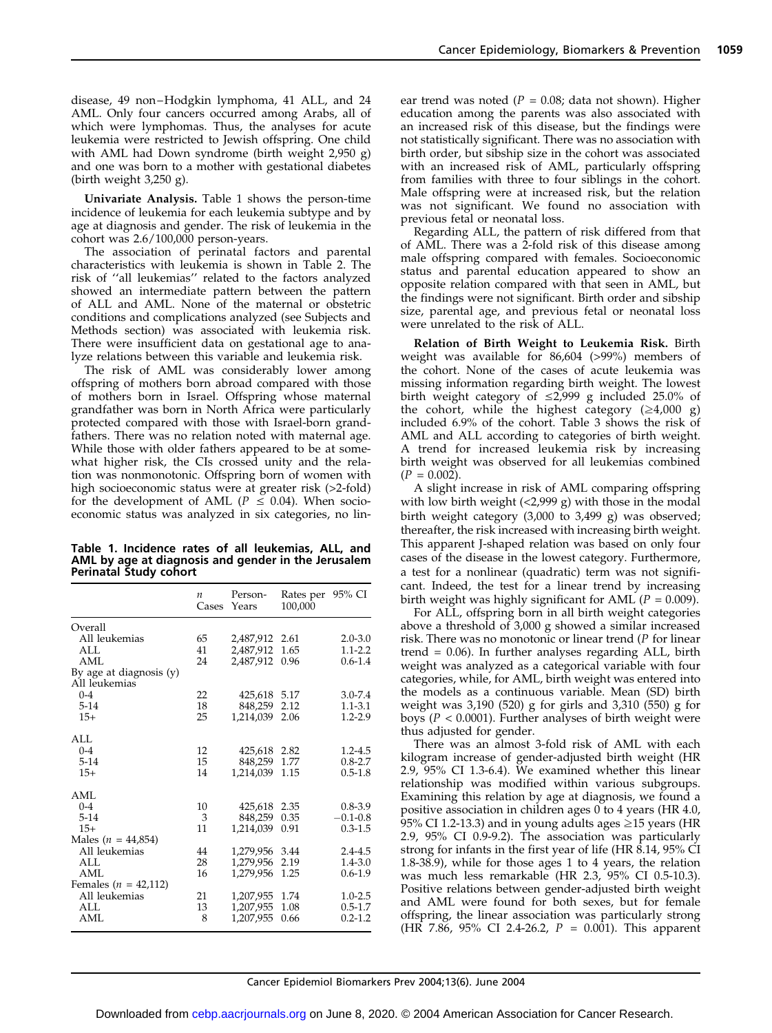disease, 49 non–Hodgkin lymphoma, 41 ALL, and 24 AML. Only four cancers occurred among Arabs, all of which were lymphomas. Thus, the analyses for acute leukemia were restricted to Jewish offspring. One child with AML had Down syndrome (birth weight 2,950 g) and one was born to a mother with gestational diabetes (birth weight 3,250 g).

Univariate Analysis. Table 1 shows the person-time incidence of leukemia for each leukemia subtype and by age at diagnosis and gender. The risk of leukemia in the cohort was 2.6/100,000 person-years.

The association of perinatal factors and parental characteristics with leukemia is shown in Table 2. The risk of ''all leukemias'' related to the factors analyzed showed an intermediate pattern between the pattern of ALL and AML. None of the maternal or obstetric conditions and complications analyzed (see Subjects and Methods section) was associated with leukemia risk. There were insufficient data on gestational age to analyze relations between this variable and leukemia risk.

The risk of AML was considerably lower among offspring of mothers born abroad compared with those of mothers born in Israel. Offspring whose maternal grandfather was born in North Africa were particularly protected compared with those with Israel-born grandfathers. There was no relation noted with maternal age. While those with older fathers appeared to be at somewhat higher risk, the CIs crossed unity and the relation was nonmonotonic. Offspring born of women with high socioeconomic status were at greater risk (>2-fold) for the development of AML ( $P \le 0.04$ ). When socioeconomic status was analyzed in six categories, no lin-

Table 1. Incidence rates of all leukemias, ALL, and AML by age at diagnosis and gender in the Jerusalem Perinatal Study cohort

|                                            | $\boldsymbol{n}$<br>Cases | Person-<br>Years | Rates per 95% CI<br>100.000 |              |
|--------------------------------------------|---------------------------|------------------|-----------------------------|--------------|
| Overall                                    |                           |                  |                             |              |
| All leukemias                              | 65                        | 2,487,912        | 2.61                        | $2.0 - 3.0$  |
| AI.                                        | 41                        | 2,487,912        | 1.65                        | $1.1 - 2.2$  |
| AML                                        | 24                        | 2.487.912        | 0.96                        | $0.6 - 1.4$  |
| By age at diagnosis $(y)$<br>All leukemias |                           |                  |                             |              |
| $0 - 4$                                    | 22                        | 425,618          | 5.17                        | $3.0 - 7.4$  |
| $5-14$                                     | 18                        | 848,259          | 2.12                        | $1.1 - 3.1$  |
| $15+$                                      | 25                        | 1,214,039        | 2.06                        | $1.2 - 2.9$  |
| AI.                                        |                           |                  |                             |              |
| $0 - 4$                                    | 12                        | 425,618          | 2.82                        | $1.2 - 4.5$  |
| $5-14$                                     | 15                        | 848,259          | 1.77                        | $0.8 - 2.7$  |
| $15+$                                      | 14                        | 1.214.039        | 1.15                        | $0.5 - 1.8$  |
| AML                                        |                           |                  |                             |              |
| $0 - 4$                                    | 10                        | 425,618          | 2.35                        | $0.8 - 3.9$  |
| $5 - 14$                                   | 3                         | 848,259          | 0.35                        | $-0.1 - 0.8$ |
| $15+$                                      | 11                        | 1,214,039        | 0.91                        | $0.3 - 1.5$  |
| Males ( $n = 44,854$ )                     |                           |                  |                             |              |
| All leukemias                              | 44                        | 1,279,956        | 3.44                        | $2.4 - 4.5$  |
| AI.                                        | 28                        | 1,279,956        | 2.19                        | $1.4 - 3.0$  |
| AML                                        | 16                        | 1.279.956        | 1.25                        | $0.6 - 1.9$  |
| Females ( $n = 42,112$ )                   |                           |                  |                             |              |
| All leukemias                              | 21                        | 1,207,955        | 1.74                        | $1.0 - 2.5$  |
| AI.                                        | 13                        | 1,207,955        | 1.08                        | $0.5 - 1.7$  |
| AML                                        | 8                         | 1,207,955        | 0.66                        | $0.2 - 1.2$  |

ear trend was noted ( $P = 0.08$ ; data not shown). Higher education among the parents was also associated with an increased risk of this disease, but the findings were not statistically significant. There was no association with birth order, but sibship size in the cohort was associated with an increased risk of AML, particularly offspring from families with three to four siblings in the cohort. Male offspring were at increased risk, but the relation was not significant. We found no association with previous fetal or neonatal loss.

Regarding ALL, the pattern of risk differed from that of AML. There was a 2-fold risk of this disease among male offspring compared with females. Socioeconomic status and parental education appeared to show an opposite relation compared with that seen in AML, but the findings were not significant. Birth order and sibship size, parental age, and previous fetal or neonatal loss were unrelated to the risk of ALL.

Relation of Birth Weight to Leukemia Risk. Birth weight was available for 86,604 (>99%) members of the cohort. None of the cases of acute leukemia was missing information regarding birth weight. The lowest birth weight category of  $\leq 2.999$  g included 25.0% of the cohort, while the highest category  $(≥4,000 g)$ included 6.9% of the cohort. Table 3 shows the risk of AML and ALL according to categories of birth weight. A trend for increased leukemia risk by increasing birth weight was observed for all leukemias combined  $(P = 0.002)$ .

A slight increase in risk of AML comparing offspring with low birth weight (<2,999 g) with those in the modal birth weight category (3,000 to 3,499 g) was observed; thereafter, the risk increased with increasing birth weight. This apparent J-shaped relation was based on only four cases of the disease in the lowest category. Furthermore, a test for a nonlinear (quadratic) term was not significant. Indeed, the test for a linear trend by increasing birth weight was highly significant for AML ( $P = 0.009$ ).

For ALL, offspring born in all birth weight categories above a threshold of 3,000 g showed a similar increased risk. There was no monotonic or linear trend (P for linear trend = 0.06). In further analyses regarding ALL, birth weight was analyzed as a categorical variable with four categories, while, for AML, birth weight was entered into the models as a continuous variable. Mean (SD) birth weight was 3,190 (520) g for girls and 3,310 (550) g for boys ( $P < 0.0001$ ). Further analyses of birth weight were thus adjusted for gender.

There was an almost 3-fold risk of AML with each kilogram increase of gender-adjusted birth weight (HR 2.9, 95% CI 1.3-6.4). We examined whether this linear relationship was modified within various subgroups. Examining this relation by age at diagnosis, we found a positive association in children ages 0 to 4 years (HR 4.0, 95% CI 1.2-13.3) and in young adults ages  $\geq$ 15 years (HR 2.9, 95% CI 0.9-9.2). The association was particularly strong for infants in the first year of life (HR 8.14, 95% CI 1.8-38.9), while for those ages 1 to 4 years, the relation was much less remarkable (HR 2.3, 95% CI 0.5-10.3). Positive relations between gender-adjusted birth weight and AML were found for both sexes, but for female offspring, the linear association was particularly strong (HR 7.86, 95% CI 2.4-26.2,  $P = 0.001$ ). This apparent

Cancer Epidemiol Biomarkers Prev 2004;13(6). June 2004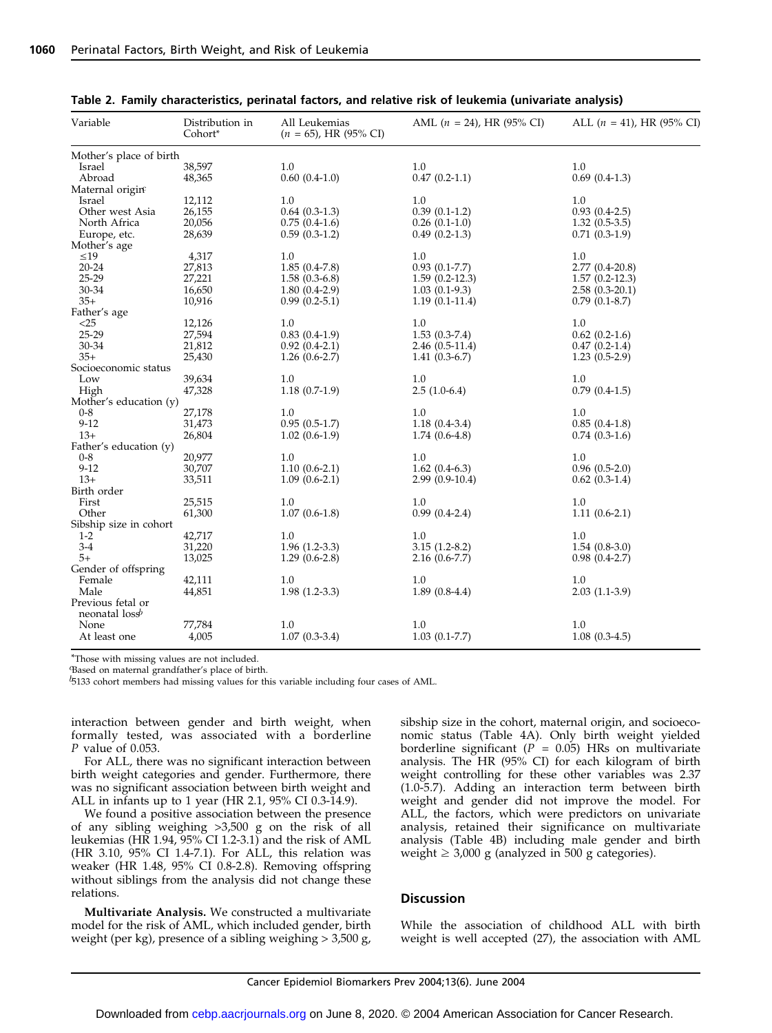| Variable                 | Distribution in<br>Cohort* | All Leukemias<br>$(n = 65)$ , HR (95% CI) | AML $(n = 24)$ , HR (95% CI) | ALL $(n = 41)$ , HR (95% CI) |
|--------------------------|----------------------------|-------------------------------------------|------------------------------|------------------------------|
| Mother's place of birth  |                            |                                           |                              |                              |
| Israel                   | 38,597                     | 1.0                                       | 1.0                          | 1.0                          |
| Abroad                   | 48,365                     | $0.60(0.4-1.0)$                           | $0.47(0.2-1.1)$              | $0.69(0.4-1.3)$              |
| Maternal origine         |                            |                                           |                              |                              |
| Israel                   | 12,112                     | 1.0                                       | 1.0                          | 1.0                          |
| Other west Asia          | 26,155                     | $0.64(0.3-1.3)$                           | $0.39(0.1-1.2)$              | $0.93(0.4-2.5)$              |
| North Africa             |                            | $0.75(0.4-1.6)$                           | $0.26(0.1-1.0)$              | $1.32(0.5-3.5)$              |
|                          | 20,056                     |                                           |                              |                              |
| Europe, etc.             | 28,639                     | $0.59(0.3-1.2)$                           | $0.49(0.2-1.3)$              | $0.71(0.3-1.9)$              |
| Mother's age             |                            |                                           |                              |                              |
| $\leq 19$                | 4,317                      | 1.0                                       | 1.0                          | 1.0                          |
| $20 - 24$                | 27,813                     | $1.85(0.4-7.8)$                           | $0.93(0.1-7.7)$              | $2.77(0.4-20.8)$             |
| 25-29                    | 27,221                     | $1.58(0.3-6.8)$                           | $1.59(0.2-12.3)$             | $1.57(0.2-12.3)$             |
| 30-34                    | 16,650                     | $1.80(0.4-2.9)$                           | $1.03(0.1-9.3)$              | $2.58(0.3-20.1)$             |
| $35+$                    | 10,916                     | $0.99(0.2-5.1)$                           | $1.19(0.1-11.4)$             | $0.79(0.1-8.7)$              |
| Father's age             |                            |                                           |                              |                              |
| $<$ 25                   | 12,126                     | 1.0                                       | 1.0                          | 1.0                          |
| 25-29                    | 27,594                     | $0.83(0.4-1.9)$                           | $1.53(0.3-7.4)$              | $0.62(0.2-1.6)$              |
| 30-34                    | 21,812                     | $0.92(0.4-2.1)$                           | $2.46(0.5-11.4)$             | $0.47(0.2-1.4)$              |
| $35+$                    | 25,430                     | $1.26(0.6-2.7)$                           | $1.41(0.3-6.7)$              | $1.23(0.5-2.9)$              |
|                          |                            |                                           |                              |                              |
| Socioeconomic status     |                            |                                           |                              |                              |
| Low                      | 39,634                     | 1.0                                       | 1.0                          | 1.0                          |
| High                     | 47,328                     | $1.18(0.7-1.9)$                           | $2.5(1.0-6.4)$               | $0.79(0.4-1.5)$              |
| Mother's education (y)   |                            |                                           |                              |                              |
| $0 - 8$                  | 27,178                     | 1.0                                       | $1.0\,$                      | 1.0                          |
| $9 - 12$                 | 31,473                     | $0.95(0.5-1.7)$                           | $1.18(0.4-3.4)$              | $0.85(0.4-1.8)$              |
| $13+$                    | 26,804                     | $1.02(0.6-1.9)$                           | $1.74(0.6-4.8)$              | $0.74(0.3-1.6)$              |
| Father's education (y)   |                            |                                           |                              |                              |
| $0 - 8$                  | 20,977                     | 1.0                                       | 1.0                          | 1.0                          |
| $9 - 12$                 | 30,707                     | $1.10(0.6-2.1)$                           | $1.62(0.4-6.3)$              | $0.96(0.5-2.0)$              |
| $13+$                    | 33,511                     | $1.09(0.6-2.1)$                           | $2.99(0.9-10.4)$             | $0.62(0.3-1.4)$              |
| Birth order              |                            |                                           |                              |                              |
| First                    | 25,515                     | 1.0                                       | 1.0                          | 1.0                          |
| Other                    | 61,300                     | $1.07(0.6-1.8)$                           | $0.99(0.4-2.4)$              | $1.11(0.6-2.1)$              |
| Sibship size in cohort   |                            |                                           |                              |                              |
|                          |                            | 1.0                                       |                              |                              |
| $1 - 2$                  | 42,717                     |                                           | 1.0                          | 1.0                          |
| $3-4$                    | 31,220                     | $1.96(1.2-3.3)$                           | $3.15(1.2-8.2)$              | $1.54(0.8-3.0)$              |
| $5+$                     | 13,025                     | $1.29(0.6-2.8)$                           | $2.16(0.6-7.7)$              | $0.98(0.4-2.7)$              |
| Gender of offspring      |                            |                                           |                              |                              |
| Female                   | 42,111                     | 1.0                                       | 1.0                          | 1.0                          |
| Male                     | 44,851                     | $1.98(1.2-3.3)$                           | $1.89(0.8-4.4)$              | $2.03(1.1-3.9)$              |
| Previous fetal or        |                            |                                           |                              |                              |
| neonatal $\log$ <i>b</i> |                            |                                           |                              |                              |
| None                     | 77,784                     | 1.0                                       | 1.0                          | 1.0                          |
| At least one             | 4,005                      | $1.07(0.3-3.4)$                           | $1.03(0.1-7.7)$              | $1.08(0.3-4.5)$              |
|                          |                            |                                           |                              |                              |

Table 2. Family characteristics, perinatal factors, and relative risk of leukemia (univariate analysis)

\*Those with missing values are not included.

Based on maternal grandfather's place of birth

 $b_{5133}$  cohort members had missing values for this variable including four cases of AML.

interaction between gender and birth weight, when formally tested, was associated with a borderline P value of 0.053.

For ALL, there was no significant interaction between birth weight categories and gender. Furthermore, there was no significant association between birth weight and ALL in infants up to 1 year (HR 2.1, 95% CI 0.3-14.9).

We found a positive association between the presence of any sibling weighing >3,500 g on the risk of all leukemias (HR 1.94, 95% CI 1.2-3.1) and the risk of AML (HR 3.10, 95% CI 1.4-7.1). For ALL, this relation was weaker (HR 1.48, 95% CI 0.8-2.8). Removing offspring without siblings from the analysis did not change these relations.

Multivariate Analysis. We constructed a multivariate model for the risk of AML, which included gender, birth weight (per kg), presence of a sibling weighing > 3,500 g, sibship size in the cohort, maternal origin, and socioeconomic status (Table 4A). Only birth weight yielded borderline significant ( $P = 0.05$ ) HRs on multivariate analysis. The HR (95% CI) for each kilogram of birth weight controlling for these other variables was 2.37 (1.0-5.7). Adding an interaction term between birth weight and gender did not improve the model. For ALL, the factors, which were predictors on univariate analysis, retained their significance on multivariate analysis (Table 4B) including male gender and birth weight  $\geq 3,000$  g (analyzed in 500 g categories).

#### **Discussion**

While the association of childhood ALL with birth weight is well accepted (27), the association with AML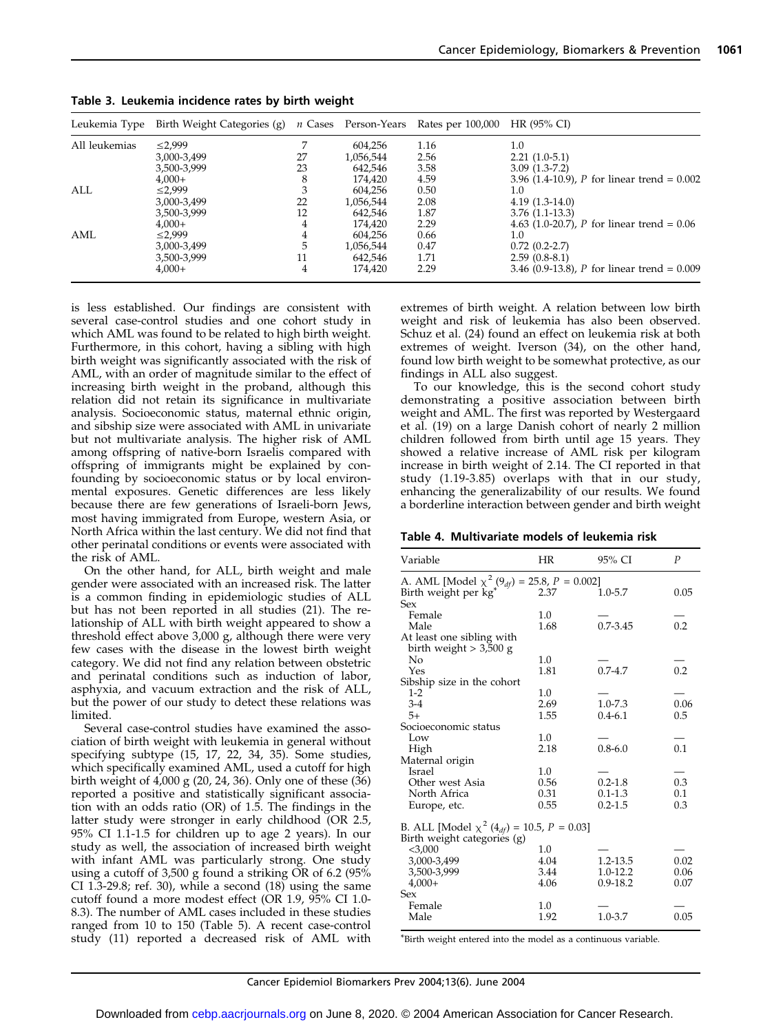| Leukemia Type | Birth Weight Categories (g) |    | <i>n</i> Cases Person-Years | Rates per 100,000 HR (95% CI) |                                               |
|---------------|-----------------------------|----|-----------------------------|-------------------------------|-----------------------------------------------|
| All leukemias | $\leq 2.999$                |    | 604,256                     | 1.16                          | 1.0                                           |
|               | 3,000-3,499                 | 27 | 1,056,544                   | 2.56                          | $2.21(1.0-5.1)$                               |
|               | 3,500-3,999                 | 23 | 642,546                     | 3.58                          | $3.09(1.3-7.2)$                               |
|               | $4.000+$                    |    | 174.420                     | 4.59                          | 3.96 (1.4-10.9), P for linear trend = $0.002$ |
| ALL           | $\leq$ 2,999                |    | 604,256                     | 0.50                          | 1.0                                           |
|               | 3,000-3,499                 | 22 | 1,056,544                   | 2.08                          | $4.19(1.3-14.0)$                              |
|               | 3,500-3,999                 | 12 | 642,546                     | 1.87                          | $3.76(1.1-13.3)$                              |
|               | $4.000+$                    | 4  | 174.420                     | 2.29                          | 4.63 (1.0-20.7), P for linear trend = $0.06$  |
| AML           | $\leq$ 2.999                |    | 604,256                     | 0.66                          | 1.0                                           |
|               | 3,000-3,499                 |    | 1,056,544                   | 0.47                          | $0.72(0.2-2.7)$                               |
|               | 3,500-3,999                 | 11 | 642,546                     | 1.71                          | $2.59(0.8-8.1)$                               |
|               | $4.000+$                    | 4  | 174.420                     | 2.29                          | 3.46 (0.9-13.8), P for linear trend = $0.009$ |

Table 3. Leukemia incidence rates by birth weight

is less established. Our findings are consistent with several case-control studies and one cohort study in which AML was found to be related to high birth weight. Furthermore, in this cohort, having a sibling with high birth weight was significantly associated with the risk of AML, with an order of magnitude similar to the effect of increasing birth weight in the proband, although this relation did not retain its significance in multivariate analysis. Socioeconomic status, maternal ethnic origin, and sibship size were associated with AML in univariate but not multivariate analysis. The higher risk of AML among offspring of native-born Israelis compared with offspring of immigrants might be explained by confounding by socioeconomic status or by local environmental exposures. Genetic differences are less likely because there are few generations of Israeli-born Jews, most having immigrated from Europe, western Asia, or North Africa within the last century. We did not find that other perinatal conditions or events were associated with the risk of AML.

On the other hand, for ALL, birth weight and male gender were associated with an increased risk. The latter is a common finding in epidemiologic studies of ALL but has not been reported in all studies (21). The relationship of ALL with birth weight appeared to show a threshold effect above 3,000 g, although there were very few cases with the disease in the lowest birth weight category. We did not find any relation between obstetric and perinatal conditions such as induction of labor, asphyxia, and vacuum extraction and the risk of ALL, but the power of our study to detect these relations was limited.

Several case-control studies have examined the association of birth weight with leukemia in general without specifying subtype (15, 17, 22, 34, 35). Some studies, which specifically examined AML, used a cutoff for high birth weight of 4,000 g (20, 24, 36). Only one of these (36) reported a positive and statistically significant association with an odds ratio (OR) of 1.5. The findings in the latter study were stronger in early childhood (OR 2.5, 95% CI 1.1-1.5 for children up to age 2 years). In our study as well, the association of increased birth weight with infant AML was particularly strong. One study using a cutoff of 3,500 g found a striking OR of 6.2 (95% CI 1.3-29.8; ref. 30), while a second  $(18)$  using the same cutoff found a more modest effect (OR 1.9, 95% CI 1.0- 8.3). The number of AML cases included in these studies ranged from 10 to 150 (Table 5). A recent case-control study (11) reported a decreased risk of AML with extremes of birth weight. A relation between low birth weight and risk of leukemia has also been observed. Schuz et al. (24) found an effect on leukemia risk at both extremes of weight. Iverson (34), on the other hand, found low birth weight to be somewhat protective, as our findings in ALL also suggest.

To our knowledge, this is the second cohort study demonstrating a positive association between birth weight and AML. The first was reported by Westergaard et al. (19) on a large Danish cohort of nearly 2 million children followed from birth until age 15 years. They showed a relative increase of AML risk per kilogram increase in birth weight of 2.14. The CI reported in that study (1.19-3.85) overlaps with that in our study, enhancing the generalizability of our results. We found a borderline interaction between gender and birth weight

| Table 4. Multivariate models of leukemia risk |  |  |  |  |  |  |  |  |  |
|-----------------------------------------------|--|--|--|--|--|--|--|--|--|
|-----------------------------------------------|--|--|--|--|--|--|--|--|--|

| Variable                                                                                   | HR   | 95% CI       | P    |
|--------------------------------------------------------------------------------------------|------|--------------|------|
| A. AML [Model $\chi^2(9_{df}) = 25.8, P = 0.002$ ]                                         |      |              |      |
| Birth weight per kg <sup>*</sup>                                                           | 2.37 | $1.0 - 5.7$  | 0.05 |
| Sex                                                                                        |      |              |      |
| Female                                                                                     | 1.0  |              |      |
| Male                                                                                       | 1.68 | $0.7 - 3.45$ | 0.2  |
| At least one sibling with                                                                  |      |              |      |
| birth weight $>$ 3,500 g                                                                   |      |              |      |
| No                                                                                         | 1.0  |              |      |
| Yes                                                                                        | 1.81 | $0.7 - 4.7$  | 0.2  |
| Sibship size in the cohort                                                                 |      |              |      |
| $1-2$                                                                                      | 1.0  |              |      |
| $3-4$                                                                                      | 2.69 | $1.0 - 7.3$  | 0.06 |
| $5+$                                                                                       | 1.55 | $0.4 - 6.1$  | 0.5  |
| Socioeconomic status                                                                       |      |              |      |
| Low                                                                                        | 1.0  |              |      |
| High                                                                                       | 2.18 | $0.8 - 6.0$  | 0.1  |
| Maternal origin                                                                            |      |              |      |
| Israel                                                                                     | 1.0  |              |      |
| Other west Asia                                                                            | 0.56 | $0.2 - 1.8$  | 0.3  |
| North Africa                                                                               | 0.31 | $0.1 - 1.3$  | 0.1  |
| Europe, etc.                                                                               | 0.55 | $0.2 - 1.5$  | 0.3  |
| B. ALL [Model $\chi^2$ (4 <sub>df</sub> ) = 10.5, P = 0.03]<br>Birth weight categories (g) |      |              |      |
| $<$ 3,000                                                                                  | 1.0  |              |      |
| 3,000-3,499                                                                                | 4.04 | 1.2-13.5     | 0.02 |
| 3,500-3,999                                                                                | 3.44 | $1.0 - 12.2$ | 0.06 |
| $4,000+$                                                                                   | 4.06 | $0.9 - 18.2$ | 0.07 |
| Sex                                                                                        |      |              |      |
| Female                                                                                     | 1.0  |              |      |
| Male                                                                                       | 1.92 | $1.0 - 3.7$  | 0.05 |

\*Birth weight entered into the model as a continuous variable.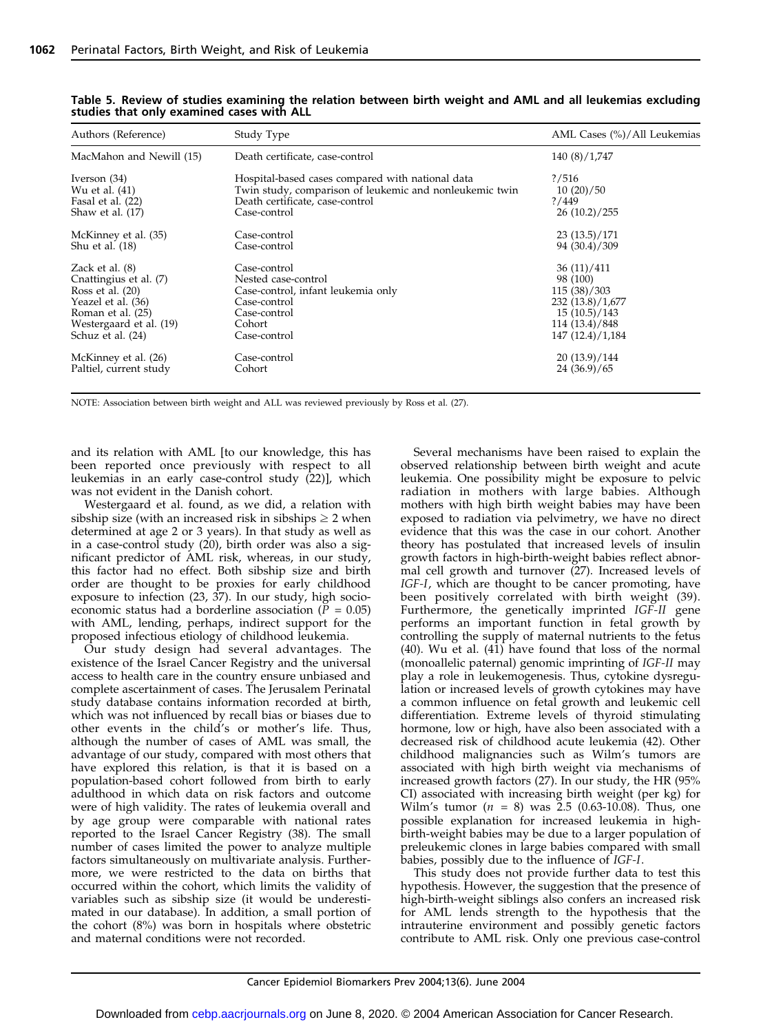| Authors (Reference)      | Study Type                                              | AML Cases (%)/All Leukemias |
|--------------------------|---------------------------------------------------------|-----------------------------|
| MacMahon and Newill (15) | Death certificate, case-control                         | 140 (8)/1,747               |
| Iverson (34)             | Hospital-based cases compared with national data        | ? / 516                     |
| Wu et al. (41)           | Twin study, comparison of leukemic and nonleukemic twin | 10(20)/50                   |
| Fasal et al. (22)        | Death certificate, case-control                         | ? / 449                     |
| Shaw et al. $(17)$       | Case-control                                            | 26(10.2)/255                |
| McKinney et al. (35)     | Case-control                                            | 23(13.5)/171                |
| Shu et al. (18)          | Case-control                                            | 94 (30.4)/309               |
| Zack et al. $(8)$        | Case-control                                            | 36(11)/411                  |
| Cnattingius et al. (7)   | Nested case-control                                     | 98 (100)                    |
| Ross et al. $(20)$       | Case-control, infant leukemia only                      | 115(38)/303                 |
| Yeazel et al. (36)       | Case-control                                            | 232 (13.8)/1,677            |
| Roman et al. (25)        | Case-control                                            | 15(10.5)/143                |
| Westergaard et al. (19)  | Cohort                                                  | 114 (13.4)/848              |
| Schuz et al. (24)        | Case-control                                            | 147 (12.4)/1,184            |
| McKinney et al. (26)     | Case-control                                            | 20(13.9)/144                |
| Paltiel, current study   | Cohort                                                  | 24(36.9)/65                 |

Table 5. Review of studies examining the relation between birth weight and AML and all leukemias excluding studies that only examined cases with ALL

NOTE: Association between birth weight and ALL was reviewed previously by Ross et al. (27).

and its relation with AML [to our knowledge, this has been reported once previously with respect to all leukemias in an early case-control study (22)], which was not evident in the Danish cohort.

Westergaard et al. found, as we did, a relation with sibship size (with an increased risk in sibships  $\geq 2$  when determined at age 2 or 3 years). In that study as well as in a case-control study (20), birth order was also a significant predictor of AML risk, whereas, in our study, this factor had no effect. Both sibship size and birth order are thought to be proxies for early childhood exposure to infection (23, 37). In our study, high socioeconomic status had a borderline association ( $P = 0.05$ ) with AML, lending, perhaps, indirect support for the proposed infectious etiology of childhood leukemia.

Our study design had several advantages. The existence of the Israel Cancer Registry and the universal access to health care in the country ensure unbiased and complete ascertainment of cases. The Jerusalem Perinatal study database contains information recorded at birth, which was not influenced by recall bias or biases due to other events in the child's or mother's life. Thus, although the number of cases of AML was small, the advantage of our study, compared with most others that have explored this relation, is that it is based on a population-based cohort followed from birth to early adulthood in which data on risk factors and outcome were of high validity. The rates of leukemia overall and by age group were comparable with national rates reported to the Israel Cancer Registry (38). The small number of cases limited the power to analyze multiple factors simultaneously on multivariate analysis. Furthermore, we were restricted to the data on births that occurred within the cohort, which limits the validity of variables such as sibship size (it would be underestimated in our database). In addition, a small portion of the cohort (8%) was born in hospitals where obstetric and maternal conditions were not recorded.

Several mechanisms have been raised to explain the observed relationship between birth weight and acute leukemia. One possibility might be exposure to pelvic radiation in mothers with large babies. Although mothers with high birth weight babies may have been exposed to radiation via pelvimetry, we have no direct evidence that this was the case in our cohort. Another theory has postulated that increased levels of insulin growth factors in high-birth-weight babies reflect abnormal cell growth and turnover (27). Increased levels of IGF-I, which are thought to be cancer promoting, have been positively correlated with birth weight (39). Furthermore, the genetically imprinted IGF-II gene performs an important function in fetal growth by controlling the supply of maternal nutrients to the fetus  $(40)$ . Wu et al.  $(41)$  have found that loss of the normal (monoallelic paternal) genomic imprinting of IGF-II may play a role in leukemogenesis. Thus, cytokine dysregulation or increased levels of growth cytokines may have a common influence on fetal growth and leukemic cell differentiation. Extreme levels of thyroid stimulating hormone, low or high, have also been associated with a decreased risk of childhood acute leukemia (42). Other childhood malignancies such as Wilm's tumors are associated with high birth weight via mechanisms of increased growth factors (27). In our study, the HR (95% CI) associated with increasing birth weight (per kg) for Wilm's tumor  $(n = 8)$  was  $2.5$  (0.63-10.08). Thus, one possible explanation for increased leukemia in highbirth-weight babies may be due to a larger population of preleukemic clones in large babies compared with small babies, possibly due to the influence of IGF-I.

This study does not provide further data to test this hypothesis. However, the suggestion that the presence of high-birth-weight siblings also confers an increased risk for AML lends strength to the hypothesis that the intrauterine environment and possibly genetic factors contribute to AML risk. Only one previous case-control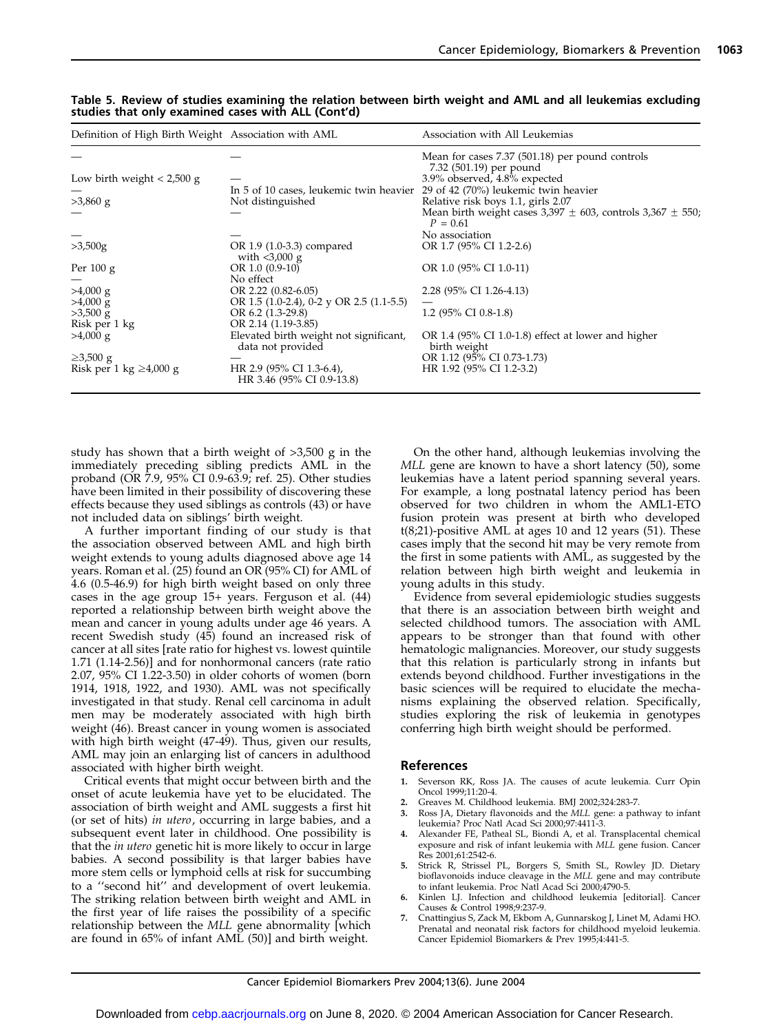| Definition of High Birth Weight Association with AML |                                                             | Association with All Leukemias                                                     |
|------------------------------------------------------|-------------------------------------------------------------|------------------------------------------------------------------------------------|
|                                                      |                                                             | Mean for cases 7.37 (501.18) per pound controls<br>7.32 (501.19) per pound         |
| Low birth weight $< 2,500$ g                         |                                                             | 3.9% observed, 4.8% expected                                                       |
|                                                      | In 5 of 10 cases, leukemic twin heavier                     | 29 of 42 (70%) leukemic twin heavier                                               |
| $>3,860$ g                                           | Not distinguished                                           | Relative risk boys 1.1, girls 2.07                                                 |
|                                                      |                                                             | Mean birth weight cases $3,397 \pm 603$ , controls $3,367 \pm 550$ ;<br>$P = 0.61$ |
|                                                      |                                                             | No association                                                                     |
| >3,500g                                              | OR 1.9 (1.0-3.3) compared<br>with $<$ 3,000 g               | OR 1.7 (95% CI 1.2-2.6)                                                            |
| Per $100 g$                                          | OR $1.0(0.9-10)$                                            | OR 1.0 (95% CI 1.0-11)                                                             |
|                                                      | No effect                                                   |                                                                                    |
| $>4,000 \text{ g}$                                   | OR $2.22$ (0.82-6.05)                                       | 2.28 (95% CI 1.26-4.13)                                                            |
| $>4,000 \text{ g}$                                   | OR 1.5 $(1.0-2.4)$ , 0-2 y OR 2.5 $(1.1-5.5)$               |                                                                                    |
| $>3,500$ g                                           | OR 6.2 (1.3-29.8)                                           | 1.2 (95% CI 0.8-1.8)                                                               |
| Risk per 1 kg                                        | OR 2.14 (1.19-3.85)                                         |                                                                                    |
| $>4,000 \text{ g}$                                   | Elevated birth weight not significant,<br>data not provided | OR 1.4 (95% CI 1.0-1.8) effect at lower and higher<br>birth weight                 |
| $\geq 3,500$ g                                       |                                                             | OR 1.12 (95% CI 0.73-1.73)                                                         |
| Risk per 1 kg $\geq 4,000$ g                         | HR 2.9 (95% CI 1.3-6.4),<br>HR 3.46 (95% CI 0.9-13.8)       | HR 1.92 (95% CI 1.2-3.2)                                                           |

#### Table 5. Review of studies examining the relation between birth weight and AML and all leukemias excluding studies that only examined cases with ALL (Cont'd)

study has shown that a birth weight of >3,500 g in the immediately preceding sibling predicts AML in the proband (OR 7.9, 95% CI 0.9-63.9; ref. 25). Other studies have been limited in their possibility of discovering these effects because they used siblings as controls (43) or have not included data on siblings' birth weight.

A further important finding of our study is that the association observed between AML and high birth weight extends to young adults diagnosed above age 14 years. Roman et al. (25) found an OR (95% CI) for AML of 4.6 (0.5-46.9) for high birth weight based on only three cases in the age group 15+ years. Ferguson et al. (44) reported a relationship between birth weight above the mean and cancer in young adults under age 46 years. A recent Swedish study (45) found an increased risk of cancer at all sites [rate ratio for highest vs. lowest quintile 1.71 (1.14-2.56)] and for nonhormonal cancers (rate ratio 2.07, 95% CI 1.22-3.50) in older cohorts of women (born 1914, 1918, 1922, and 1930). AML was not specifically investigated in that study. Renal cell carcinoma in adult men may be moderately associated with high birth weight (46). Breast cancer in young women is associated with high birth weight (47-49). Thus, given our results, AML may join an enlarging list of cancers in adulthood associated with higher birth weight.

Critical events that might occur between birth and the onset of acute leukemia have yet to be elucidated. The association of birth weight and AML suggests a first hit (or set of hits) in utero, occurring in large babies, and a subsequent event later in childhood. One possibility is that the in utero genetic hit is more likely to occur in large babies. A second possibility is that larger babies have more stem cells or lymphoid cells at risk for succumbing to a ''second hit'' and development of overt leukemia. The striking relation between birth weight and AML in the first year of life raises the possibility of a specific relationship between the MLL gene abnormality [which are found in 65% of infant AML (50)] and birth weight.

On the other hand, although leukemias involving the MLL gene are known to have a short latency (50), some leukemias have a latent period spanning several years. For example, a long postnatal latency period has been observed for two children in whom the AML1-ETO fusion protein was present at birth who developed t(8;21)-positive AML at ages 10 and 12 years (51). These cases imply that the second hit may be very remote from the first in some patients with AML, as suggested by the relation between high birth weight and leukemia in young adults in this study.

Evidence from several epidemiologic studies suggests that there is an association between birth weight and selected childhood tumors. The association with AML appears to be stronger than that found with other hematologic malignancies. Moreover, our study suggests that this relation is particularly strong in infants but extends beyond childhood. Further investigations in the basic sciences will be required to elucidate the mechanisms explaining the observed relation. Specifically, studies exploring the risk of leukemia in genotypes conferring high birth weight should be performed.

#### References

- Severson RK, Ross JA. The causes of acute leukemia. Curr Opin Oncol 1999;11:20-4.
- 2. Greaves M. Childhood leukemia. BMJ 2002;324:283-7.
- 3. Ross JA, Dietary flavonoids and the MLL gene: a pathway to infant leukemia? Proc Natl Acad Sci 2000;97:4411-3.
- 4. Alexander FE, Patheal SL, Biondi A, et al. Transplacental chemical exposure and risk of infant leukemia with MLL gene fusion. Cancer Res 2001;61:2542-6.
- 5. Strick R, Strissel PL, Borgers S, Smith SL, Rowley JD. Dietary bioflavonoids induce cleavage in the MLL gene and may contribute to infant leukemia. Proc Natl Acad Sci 2000;4790-5.
- 6. Kinlen LJ. Infection and childhood leukemia [editorial]. Cancer Causes & Control 1998;9:237-9.
- 7. Cnattingius S, Zack M, Ekbom A, Gunnarskog J, Linet M, Adami HO. Prenatal and neonatal risk factors for childhood myeloid leukemia. Cancer Epidemiol Biomarkers & Prev 1995;4:441-5.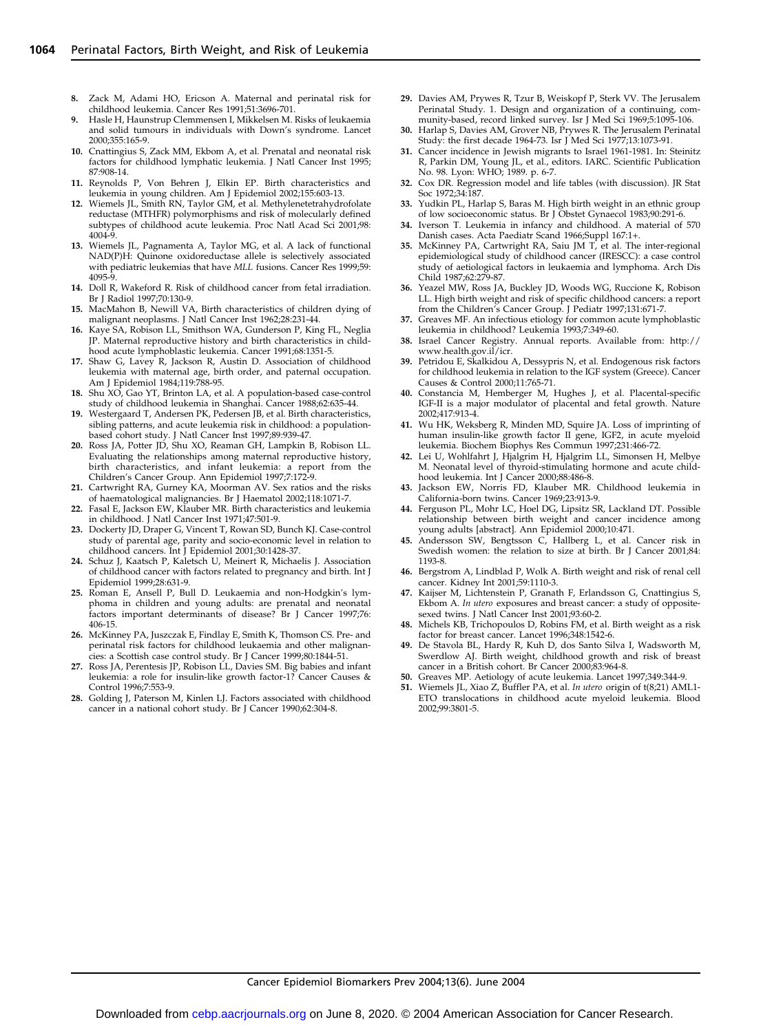- Zack M, Adami HO, Ericson A. Maternal and perinatal risk for childhood leukemia. Cancer Res 1991;51:3696-701.
- 9. Hasle H, Haunstrup Clemmensen I, Mikkelsen M. Risks of leukaemia and solid tumours in individuals with Down's syndrome. Lancet 2000;355:165-9.
- 10. Cnattingius S, Zack MM, Ekbom A, et al. Prenatal and neonatal risk factors for childhood lymphatic leukemia. J Natl Cancer Inst 1995; 87:908-14.
- 11. Reynolds P, Von Behren J, Elkin EP. Birth characteristics and leukemia in young children. Am J Epidemiol 2002;155:603-13.
- 12. Wiemels JL, Smith RN, Taylor GM, et al. Methylenetetrahydrofolate reductase (MTHFR) polymorphisms and risk of molecularly defined subtypes of childhood acute leukemia. Proc Natl Acad Sci 2001;98: 4004-9.
- 13. Wiemels JL, Pagnamenta A, Taylor MG, et al. A lack of functional NAD(P)H: Quinone oxidoreductase allele is selectively associated with pediatric leukemias that have MLL fusions. Cancer Res 1999;59: 4095-9.
- 14. Doll R, Wakeford R. Risk of childhood cancer from fetal irradiation. Br J Radiol 1997;70:130-9.
- 15. MacMahon B, Newill VA, Birth characteristics of children dying of malignant neoplasms. J Natl Cancer Inst 1962;28:231-44.
- 16. Kaye SA, Robison LL, Smithson WA, Gunderson P, King FL, Neglia JP. Maternal reproductive history and birth characteristics in childhood acute lymphoblastic leukemia. Cancer 1991;68:1351-5.
- 17. Shaw G, Lavey R, Jackson R, Austin D. Association of childhood leukemia with maternal age, birth order, and paternal occupation. Am J Epidemiol 1984;119:788-95.
- 18. Shu XO, Gao YT, Brinton LA, et al. A population-based case-control study of childhood leukemia in Shanghai. Cancer 1988;62:635-44.
- 19. Westergaard T, Andersen PK, Pedersen JB, et al. Birth characteristics, sibling patterns, and acute leukemia risk in childhood: a populationbased cohort study. J Natl Cancer Inst 1997;89:939-47.
- 20. Ross JA, Potter JD, Shu XO, Reaman GH, Lampkin B, Robison LL. Evaluating the relationships among maternal reproductive history, birth characteristics, and infant leukemia: a report from the Children's Cancer Group. Ann Epidemiol 1997;7:172-9.
- 21. Cartwright RA, Gurney KA, Moorman AV. Sex ratios and the risks of haematological malignancies. Br J Haematol 2002;118:1071-7.
- 22. Fasal E, Jackson EW, Klauber MR. Birth characteristics and leukemia in childhood. J Natl Cancer Inst 1971;47:501-9.
- 23. Dockerty JD, Draper G, Vincent T, Rowan SD, Bunch KJ. Case-control study of parental age, parity and socio-economic level in relation to childhood cancers. Int J Epidemiol 2001;30:1428-37.
- 24. Schuz J, Kaatsch P, Kaletsch U, Meinert R, Michaelis J. Association of childhood cancer with factors related to pregnancy and birth. Int J Epidemiol 1999;28:631-9.
- 25. Roman E, Ansell P, Bull D. Leukaemia and non-Hodgkin's lymphoma in children and young adults: are prenatal and neonatal factors important determinants of disease? Br J Cancer 1997;76: 406-15.
- 26. McKinney PA, Juszczak E, Findlay E, Smith K, Thomson CS. Pre- and perinatal risk factors for childhood leukaemia and other malignancies: a Scottish case control study. Br J Cancer 1999;80:1844-51.
- 27. Ross JA, Perentesis JP, Robison LL, Davies SM. Big babies and infant leukemia: a role for insulin-like growth factor-1? Cancer Causes & Control 1996;7:553-9.
- 28. Golding J, Paterson M, Kinlen LJ. Factors associated with childhood cancer in a national cohort study. Br J Cancer 1990;62:304-8.
- 29. Davies AM, Prywes R, Tzur B, Weiskopf P, Sterk VV. The Jerusalem Perinatal Study. 1. Design and organization of a continuing, community-based, record linked survey. Isr J Med Sci 1969;5:1095-106.
- 30. Harlap S, Davies AM, Grover NB, Prywes R. The Jerusalem Perinatal Study: the first decade 1964-73. Isr J Med Sci 1977;13:1073-91.
- Cancer incidence in Jewish migrants to Israel 1961-1981. In: Steinitz R, Parkin DM, Young JL, et al., editors. IARC. Scientific Publication No. 98. Lyon: WHO; 1989. p. 6-7.
- 32. Cox DR. Regression model and life tables (with discussion). JR Stat Soc 1972;34:187.
- Yudkin PL, Harlap S, Baras M. High birth weight in an ethnic group of low socioeconomic status. Br J Obstet Gynaecol 1983;90:291-6.
- 34. Iverson T. Leukemia in infancy and childhood. A material of 570 Danish cases. Acta Paediatr Scand 1966;Suppl 167:1+.
- McKinney PA, Cartwright RA, Saiu JM T, et al. The inter-regional epidemiological study of childhood cancer (IRESCC): a case control study of aetiological factors in leukaemia and lymphoma. Arch Dis Child 1987;62:279-87.
- 36. Yeazel MW, Ross JA, Buckley JD, Woods WG, Ruccione K, Robison LL. High birth weight and risk of specific childhood cancers: a report
- from the Children's Cancer Group. J Pediatr 1997;131:671-7. 37. Greaves MF. An infectious etiology for common acute lymphoblastic leukemia in childhood? Leukemia 1993;7:349-60.
- 38. Israel Cancer Registry. Annual reports. Available from: http:// www.health.gov.il/icr.
- 39. Petridou E, Skalkidou A, Dessypris N, et al. Endogenous risk factors for childhood leukemia in relation to the IGF system (Greece). Cancer Causes & Control 2000;11:765-71.
- 40. Constancia M, Hemberger M, Hughes J, et al. Placental-specific IGF-II is a major modulator of placental and fetal growth. Nature 2002;417:913-4.
- 41. Wu HK, Weksberg R, Minden MD, Squire JA. Loss of imprinting of human insulin-like growth factor II gene, IGF2, in acute myeloid leukemia. Biochem Biophys Res Commun 1997;231:466-72.
- 42. Lei U, Wohlfahrt J, Hjalgrim H, Hjalgrim LL, Simonsen H, Melbye M. Neonatal level of thyroid-stimulating hormone and acute childhood leukemia. Int J Cancer 2000;88:486-8.
- 43. Jackson EW, Norris FD, Klauber MR. Childhood leukemia in California-born twins. Cancer 1969;23:913-9.
- 44. Ferguson PL, Mohr LC, Hoel DG, Lipsitz SR, Lackland DT. Possible relationship between birth weight and cancer incidence among young adults [abstract]. Ann Epidemiol 2000;10:471.
- 45. Andersson SW, Bengtsson C, Hallberg L, et al. Cancer risk in Swedish women: the relation to size at birth. Br J Cancer 2001;84: 1193-8.
- 46. Bergstrom A, Lindblad P, Wolk A. Birth weight and risk of renal cell cancer. Kidney Int 2001;59:1110-3.
- 47. Kaijser M, Lichtenstein P, Granath F, Erlandsson G, Cnattingius S, Ekbom A. In utero exposures and breast cancer: a study of oppositesexed twins. J Natl Cancer Inst 2001;93:60-2.
- 48. Michels KB, Trichopoulos D, Robins FM, et al. Birth weight as a risk factor for breast cancer. Lancet 1996;348:1542-6.
- De Stavola BL, Hardy R, Kuh D, dos Santo Silva I, Wadsworth M, Swerdlow AJ. Birth weight, childhood growth and risk of breast cancer in a British cohort. Br Cancer 2000;83:964-8.
- 50. Greaves MP. Aetiology of acute leukemia. Lancet 1997;349:344-9.
- Wiemels JL, Xiao Z, Buffler PA, et al. In utero origin of t(8;21) AML1-ETO translocations in childhood acute myeloid leukemia. Blood 2002;99:3801-5.